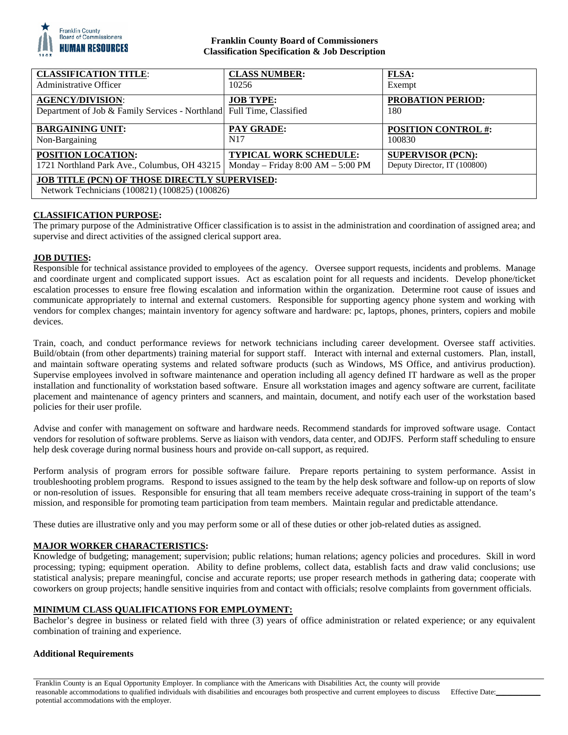

## **Franklin County Board of Commissioners Classification Specification & Job Description**

| <b>CLASSIFICATION TITLE:</b>                                                                           | <b>CLASS NUMBER:</b>                  | <b>FLSA:</b>                    |
|--------------------------------------------------------------------------------------------------------|---------------------------------------|---------------------------------|
| Administrative Officer                                                                                 | 10256                                 | Exempt                          |
| <b>AGENCY/DIVISION:</b><br>Department of Job & Family Services - Northland Full Time, Classified       | <b>JOB TYPE:</b>                      | <b>PROBATION PERIOD:</b><br>180 |
| <b>BARGAINING UNIT:</b>                                                                                | <b>PAY GRADE:</b>                     | <b>POSITION CONTROL #:</b>      |
| Non-Bargaining                                                                                         | N <sub>17</sub>                       | 100830                          |
| <b>POSITION LOCATION:</b>                                                                              | <b>TYPICAL WORK SCHEDULE:</b>         | <b>SUPERVISOR (PCN):</b>        |
| 1721 Northland Park Ave., Columbus, OH 43215                                                           | Monday – Friday $8:00$ AM – $5:00$ PM | Deputy Director, IT (100800)    |
| <b>JOB TITLE (PCN) OF THOSE DIRECTLY SUPERVISED:</b><br>Network Technicians (100821) (100825) (100826) |                                       |                                 |

# **CLASSIFICATION PURPOSE:**

The primary purpose of the Administrative Officer classification is to assist in the administration and coordination of assigned area; and supervise and direct activities of the assigned clerical support area.

## **JOB DUTIES:**

Responsible for technical assistance provided to employees of the agency. Oversee support requests, incidents and problems. Manage and coordinate urgent and complicated support issues. Act as escalation point for all requests and incidents. Develop phone/ticket escalation processes to ensure free flowing escalation and information within the organization. Determine root cause of issues and communicate appropriately to internal and external customers. Responsible for supporting agency phone system and working with vendors for complex changes; maintain inventory for agency software and hardware: pc, laptops, phones, printers, copiers and mobile devices.

Train, coach, and conduct performance reviews for network technicians including career development. Oversee staff activities. Build/obtain (from other departments) training material for support staff. Interact with internal and external customers. Plan, install, and maintain software operating systems and related software products (such as Windows, MS Office, and antivirus production). Supervise employees involved in software maintenance and operation including all agency defined IT hardware as well as the proper installation and functionality of workstation based software. Ensure all workstation images and agency software are current, facilitate placement and maintenance of agency printers and scanners, and maintain, document, and notify each user of the workstation based policies for their user profile.

Advise and confer with management on software and hardware needs. Recommend standards for improved software usage. Contact vendors for resolution of software problems. Serve as liaison with vendors, data center, and ODJFS. Perform staff scheduling to ensure help desk coverage during normal business hours and provide on-call support, as required.

Perform analysis of program errors for possible software failure. Prepare reports pertaining to system performance. Assist in troubleshooting problem programs. Respond to issues assigned to the team by the help desk software and follow-up on reports of slow or non-resolution of issues. Responsible for ensuring that all team members receive adequate cross-training in support of the team's mission, and responsible for promoting team participation from team members. Maintain regular and predictable attendance.

These duties are illustrative only and you may perform some or all of these duties or other job-related duties as assigned.

## **MAJOR WORKER CHARACTERISTICS:**

Knowledge of budgeting; management; supervision; public relations; human relations; agency policies and procedures. Skill in word processing; typing; equipment operation. Ability to define problems, collect data, establish facts and draw valid conclusions; use statistical analysis; prepare meaningful, concise and accurate reports; use proper research methods in gathering data; cooperate with coworkers on group projects; handle sensitive inquiries from and contact with officials; resolve complaints from government officials.

# **MINIMUM CLASS QUALIFICATIONS FOR EMPLOYMENT:**

Bachelor's degree in business or related field with three (3) years of office administration or related experience; or any equivalent combination of training and experience.

## **Additional Requirements**

Franklin County is an Equal Opportunity Employer. In compliance with the Americans with Disabilities Act, the county will provide reasonable accommodations to qualified individuals with disabilities and encourages both prospective and current employees to discuss potential accommodations with the employer.